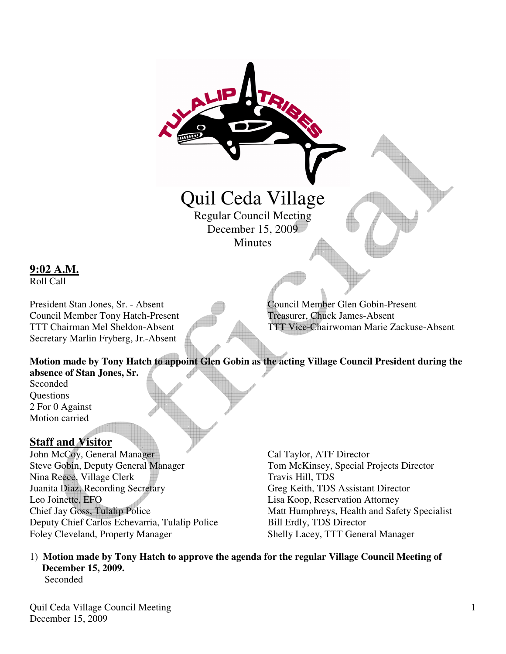# Quil Ceda Village Regular Council Meeting

December 15, 2009 **Minutes** 

**9:02 A.M.**

Roll Call

Council Member Tony Hatch-Present Treasurer, Chuck James-Absent Secretary Marlin Fryberg, Jr.-Absent

President Stan Jones, Sr. - Absent Council Member Glen Gobin-Present TTT Chairman Mel Sheldon-Absent TTT Vice-Chairwoman Marie Zackuse-Absent

**Motion made by Tony Hatch to appoint Glen Gobin as the acting Village Council President during the absence of Stan Jones, Sr.** 

Seconded Questions 2 For 0 Against Motion carried

### **Staff and Visitor**

John McCoy, General Manager Cal Taylor, ATF Director Steve Gobin, Deputy General Manager Tom McKinsey, Special Projects Director Nina Reece, Village Clerk Travis Hill, TDS Juanita Diaz, Recording Secretary Greg Keith, TDS Assistant Director Leo Joinette, EFO Lisa Koop, Reservation Attorney Chief Jay Goss, Tulalip Police Matt Humphreys, Health and Safety Specialist Deputy Chief Carlos Echevarria, Tulalip Police Bill Erdly, TDS Director Foley Cleveland, Property Manager Shelly Lacey, TTT General Manager

1) **Motion made by Tony Hatch to approve the agenda for the regular Village Council Meeting of December 15, 2009.**  Seconded

Quil Ceda Village Council Meeting December 15, 2009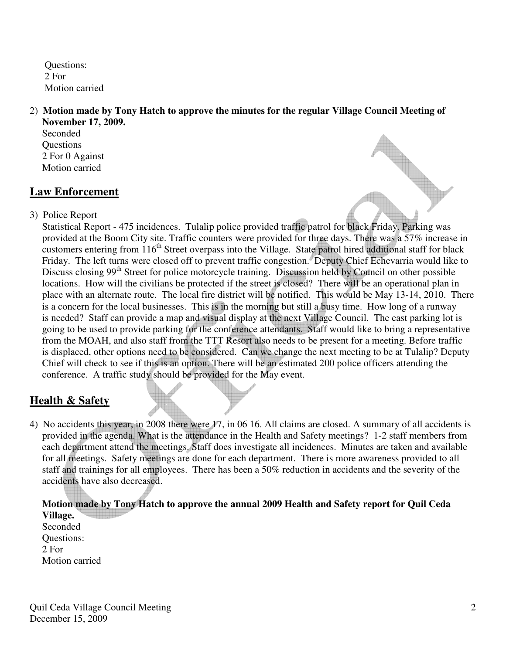Questions: 2 For Motion carried

#### 2) **Motion made by Tony Hatch to approve the minutes for the regular Village Council Meeting of November 17, 2009.**

 Seconded **Questions**  2 For 0 Against Motion carried

### **Law Enforcement**

3) Police Report

 Statistical Report - 475 incidences. Tulalip police provided traffic patrol for black Friday. Parking was provided at the Boom City site. Traffic counters were provided for three days. There was a 57% increase in customers entering from 116<sup>th</sup> Street overpass into the Village. State patrol hired additional staff for black Friday. The left turns were closed off to prevent traffic congestion. Deputy Chief Echevarria would like to Discuss closing 99<sup>th</sup> Street for police motorcycle training. Discussion held by Council on other possible locations. How will the civilians be protected if the street is closed? There will be an operational plan in place with an alternate route. The local fire district will be notified. This would be May 13-14, 2010. There is a concern for the local businesses. This is in the morning but still a busy time. How long of a runway is needed? Staff can provide a map and visual display at the next Village Council. The east parking lot is going to be used to provide parking for the conference attendants. Staff would like to bring a representative from the MOAH, and also staff from the TTT Resort also needs to be present for a meeting. Before traffic is displaced, other options need to be considered. Can we change the next meeting to be at Tulalip? Deputy Chief will check to see if this is an option. There will be an estimated 200 police officers attending the conference. A traffic study should be provided for the May event.

## **Health & Safety**

4) No accidents this year, in 2008 there were 17, in 06 16. All claims are closed. A summary of all accidents is provided in the agenda. What is the attendance in the Health and Safety meetings? 1-2 staff members from each department attend the meetings. Staff does investigate all incidences. Minutes are taken and available for all meetings. Safety meetings are done for each department. There is more awareness provided to all staff and trainings for all employees. There has been a 50% reduction in accidents and the severity of the accidents have also decreased.

 **Motion made by Tony Hatch to approve the annual 2009 Health and Safety report for Quil Ceda Village.** Seconded Questions: 2 For

Motion carried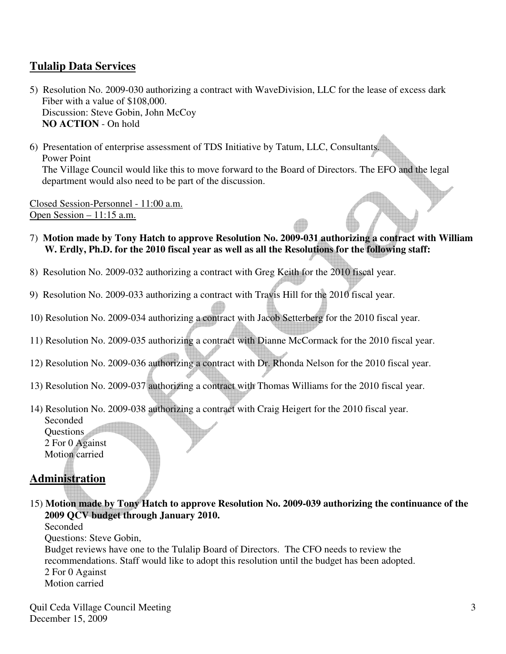### **Tulalip Data Services**

- 5) Resolution No. 2009-030 authorizing a contract with WaveDivision, LLC for the lease of excess dark Fiber with a value of \$108,000. Discussion: Steve Gobin, John McCoy **NO ACTION** - On hold
- 6) Presentation of enterprise assessment of TDS Initiative by Tatum, LLC, Consultants. Power Point The Village Council would like this to move forward to the Board of Directors. The EFO and the legal department would also need to be part of the discussion.

Closed Session-Personnel - 11:00 a.m. Open Session – 11:15 a.m.

- 7) **Motion made by Tony Hatch to approve Resolution No. 2009-031 authorizing a contract with William W. Erdly, Ph.D. for the 2010 fiscal year as well as all the Resolutions for the following staff:**
- 8) Resolution No. 2009-032 authorizing a contract with Greg Keith for the 2010 fiscal year.
- 9) Resolution No. 2009-033 authorizing a contract with Travis Hill for the 2010 fiscal year.
- 10) Resolution No. 2009-034 authorizing a contract with Jacob Setterberg for the 2010 fiscal year.
- 11) Resolution No. 2009-035 authorizing a contract with Dianne McCormack for the 2010 fiscal year.
- 12) Resolution No. 2009-036 authorizing a contract with Dr. Rhonda Nelson for the 2010 fiscal year.
- 13) Resolution No. 2009-037 authorizing a contract with Thomas Williams for the 2010 fiscal year.
- 14) Resolution No. 2009-038 authorizing a contract with Craig Heigert for the 2010 fiscal year. Seconded Questions 2 For 0 Against Motion carried

### **Administration**

15) **Motion made by Tony Hatch to approve Resolution No. 2009-039 authorizing the continuance of the 2009 QCV budget through January 2010.** 

Seconded

Questions: Steve Gobin,

 Budget reviews have one to the Tulalip Board of Directors. The CFO needs to review the recommendations. Staff would like to adopt this resolution until the budget has been adopted. 2 For 0 Against Motion carried